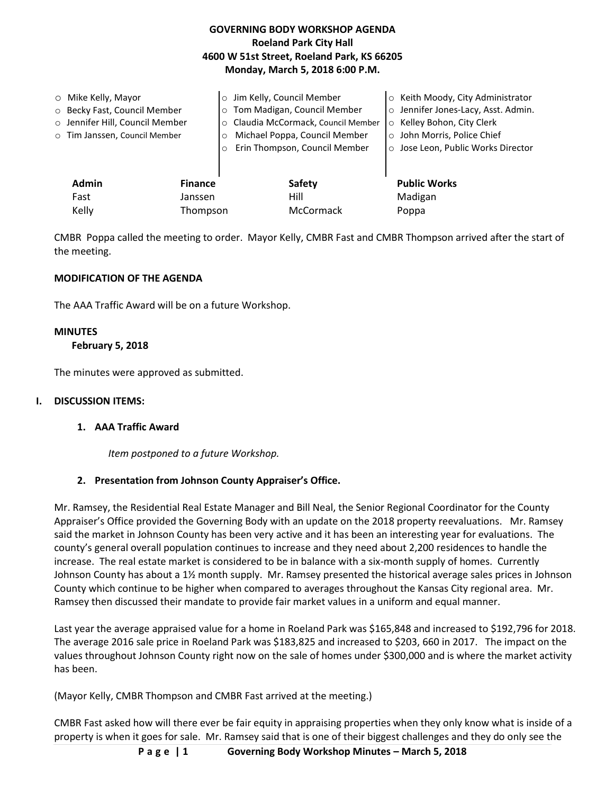# **GOVERNING BODY WORKSHOP AGENDA Roeland Park City Hall 4600 W 51st Street, Roeland Park, KS 66205 Monday, March 5, 2018 6:00 P.M.**

| $\circ$ Mike Kelly, Mayor<br>○ Becky Fast, Council Member<br>o Jennifer Hill, Council Member<br>o Tim Janssen, Council Member | $\circ$<br>$\circ$<br>$\circ$<br>O<br>$\Omega$ | Jim Kelly, Council Member<br>Tom Madigan, Council Member<br>Claudia McCormack, Council Member<br>Michael Poppa, Council Member<br>Erin Thompson, Council Member | ○ Keith Moody, City Administrator<br>o Jennifer Jones-Lacy, Asst. Admin.<br>Kelley Bohon, City Clerk<br>$\circ$<br>o John Morris, Police Chief<br>○ Jose Leon, Public Works Director |
|-------------------------------------------------------------------------------------------------------------------------------|------------------------------------------------|-----------------------------------------------------------------------------------------------------------------------------------------------------------------|--------------------------------------------------------------------------------------------------------------------------------------------------------------------------------------|
| <b>Admin</b><br>Fast                                                                                                          | <b>Finance</b><br>Janssen                      | Safety<br>Hill                                                                                                                                                  | <b>Public Works</b><br>Madigan                                                                                                                                                       |
| Kelly                                                                                                                         | Thompson                                       | McCormack                                                                                                                                                       | Poppa                                                                                                                                                                                |

CMBR Poppa called the meeting to order. Mayor Kelly, CMBR Fast and CMBR Thompson arrived after the start of the meeting.

### **MODIFICATION OF THE AGENDA**

The AAA Traffic Award will be on a future Workshop.

#### **MINUTES**

 **February 5, 2018** 

The minutes were approved as submitted.

#### **I. DISCUSSION ITEMS:**

#### **1. AAA Traffic Award**

*Item postponed to a future Workshop.*

# **2. Presentation from Johnson County Appraiser's Office.**

Mr. Ramsey, the Residential Real Estate Manager and Bill Neal, the Senior Regional Coordinator for the County Appraiser's Office provided the Governing Body with an update on the 2018 property reevaluations. Mr. Ramsey said the market in Johnson County has been very active and it has been an interesting year for evaluations. The county's general overall population continues to increase and they need about 2,200 residences to handle the increase. The real estate market is considered to be in balance with a six-month supply of homes. Currently Johnson County has about a 1½ month supply. Mr. Ramsey presented the historical average sales prices in Johnson County which continue to be higher when compared to averages throughout the Kansas City regional area. Mr. Ramsey then discussed their mandate to provide fair market values in a uniform and equal manner.

Last year the average appraised value for a home in Roeland Park was \$165,848 and increased to \$192,796 for 2018. The average 2016 sale price in Roeland Park was \$183,825 and increased to \$203, 660 in 2017. The impact on the values throughout Johnson County right now on the sale of homes under \$300,000 and is where the market activity has been.

(Mayor Kelly, CMBR Thompson and CMBR Fast arrived at the meeting.)

CMBR Fast asked how will there ever be fair equity in appraising properties when they only know what is inside of a property is when it goes for sale. Mr. Ramsey said that is one of their biggest challenges and they do only see the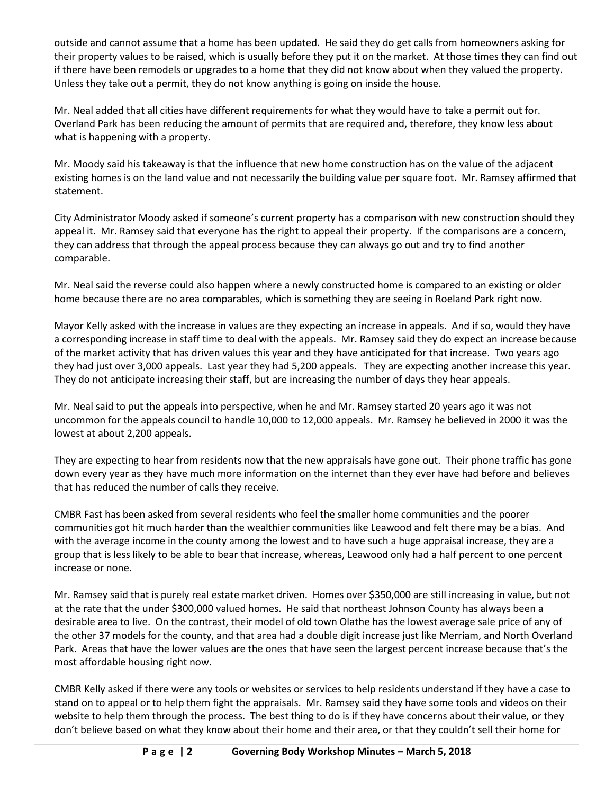outside and cannot assume that a home has been updated. He said they do get calls from homeowners asking for their property values to be raised, which is usually before they put it on the market. At those times they can find out if there have been remodels or upgrades to a home that they did not know about when they valued the property. Unless they take out a permit, they do not know anything is going on inside the house.

Mr. Neal added that all cities have different requirements for what they would have to take a permit out for. Overland Park has been reducing the amount of permits that are required and, therefore, they know less about what is happening with a property.

Mr. Moody said his takeaway is that the influence that new home construction has on the value of the adjacent existing homes is on the land value and not necessarily the building value per square foot. Mr. Ramsey affirmed that statement.

City Administrator Moody asked if someone's current property has a comparison with new construction should they appeal it. Mr. Ramsey said that everyone has the right to appeal their property. If the comparisons are a concern, they can address that through the appeal process because they can always go out and try to find another comparable.

Mr. Neal said the reverse could also happen where a newly constructed home is compared to an existing or older home because there are no area comparables, which is something they are seeing in Roeland Park right now.

Mayor Kelly asked with the increase in values are they expecting an increase in appeals. And if so, would they have a corresponding increase in staff time to deal with the appeals. Mr. Ramsey said they do expect an increase because of the market activity that has driven values this year and they have anticipated for that increase. Two years ago they had just over 3,000 appeals. Last year they had 5,200 appeals. They are expecting another increase this year. They do not anticipate increasing their staff, but are increasing the number of days they hear appeals.

Mr. Neal said to put the appeals into perspective, when he and Mr. Ramsey started 20 years ago it was not uncommon for the appeals council to handle 10,000 to 12,000 appeals. Mr. Ramsey he believed in 2000 it was the lowest at about 2,200 appeals.

They are expecting to hear from residents now that the new appraisals have gone out. Their phone traffic has gone down every year as they have much more information on the internet than they ever have had before and believes that has reduced the number of calls they receive.

CMBR Fast has been asked from several residents who feel the smaller home communities and the poorer communities got hit much harder than the wealthier communities like Leawood and felt there may be a bias. And with the average income in the county among the lowest and to have such a huge appraisal increase, they are a group that is less likely to be able to bear that increase, whereas, Leawood only had a half percent to one percent increase or none.

Mr. Ramsey said that is purely real estate market driven. Homes over \$350,000 are still increasing in value, but not at the rate that the under \$300,000 valued homes. He said that northeast Johnson County has always been a desirable area to live. On the contrast, their model of old town Olathe has the lowest average sale price of any of the other 37 models for the county, and that area had a double digit increase just like Merriam, and North Overland Park. Areas that have the lower values are the ones that have seen the largest percent increase because that's the most affordable housing right now.

CMBR Kelly asked if there were any tools or websites or services to help residents understand if they have a case to stand on to appeal or to help them fight the appraisals. Mr. Ramsey said they have some tools and videos on their website to help them through the process. The best thing to do is if they have concerns about their value, or they don't believe based on what they know about their home and their area, or that they couldn't sell their home for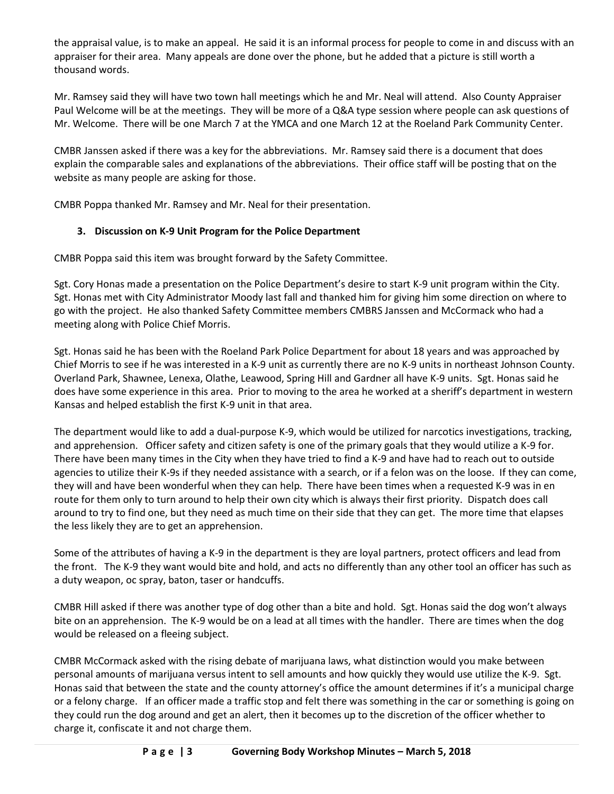the appraisal value, is to make an appeal. He said it is an informal process for people to come in and discuss with an appraiser for their area. Many appeals are done over the phone, but he added that a picture is still worth a thousand words.

Mr. Ramsey said they will have two town hall meetings which he and Mr. Neal will attend. Also County Appraiser Paul Welcome will be at the meetings. They will be more of a Q&A type session where people can ask questions of Mr. Welcome. There will be one March 7 at the YMCA and one March 12 at the Roeland Park Community Center.

CMBR Janssen asked if there was a key for the abbreviations. Mr. Ramsey said there is a document that does explain the comparable sales and explanations of the abbreviations. Their office staff will be posting that on the website as many people are asking for those.

CMBR Poppa thanked Mr. Ramsey and Mr. Neal for their presentation.

# **3. Discussion on K-9 Unit Program for the Police Department**

CMBR Poppa said this item was brought forward by the Safety Committee.

Sgt. Cory Honas made a presentation on the Police Department's desire to start K-9 unit program within the City. Sgt. Honas met with City Administrator Moody last fall and thanked him for giving him some direction on where to go with the project. He also thanked Safety Committee members CMBRS Janssen and McCormack who had a meeting along with Police Chief Morris.

Sgt. Honas said he has been with the Roeland Park Police Department for about 18 years and was approached by Chief Morris to see if he was interested in a K-9 unit as currently there are no K-9 units in northeast Johnson County. Overland Park, Shawnee, Lenexa, Olathe, Leawood, Spring Hill and Gardner all have K-9 units. Sgt. Honas said he does have some experience in this area. Prior to moving to the area he worked at a sheriff's department in western Kansas and helped establish the first K-9 unit in that area.

The department would like to add a dual-purpose K-9, which would be utilized for narcotics investigations, tracking, and apprehension. Officer safety and citizen safety is one of the primary goals that they would utilize a K-9 for. There have been many times in the City when they have tried to find a K-9 and have had to reach out to outside agencies to utilize their K-9s if they needed assistance with a search, or if a felon was on the loose. If they can come, they will and have been wonderful when they can help. There have been times when a requested K-9 was in en route for them only to turn around to help their own city which is always their first priority. Dispatch does call around to try to find one, but they need as much time on their side that they can get. The more time that elapses the less likely they are to get an apprehension.

Some of the attributes of having a K-9 in the department is they are loyal partners, protect officers and lead from the front. The K-9 they want would bite and hold, and acts no differently than any other tool an officer has such as a duty weapon, oc spray, baton, taser or handcuffs.

CMBR Hill asked if there was another type of dog other than a bite and hold. Sgt. Honas said the dog won't always bite on an apprehension. The K-9 would be on a lead at all times with the handler. There are times when the dog would be released on a fleeing subject.

CMBR McCormack asked with the rising debate of marijuana laws, what distinction would you make between personal amounts of marijuana versus intent to sell amounts and how quickly they would use utilize the K-9. Sgt. Honas said that between the state and the county attorney's office the amount determines if it's a municipal charge or a felony charge. If an officer made a traffic stop and felt there was something in the car or something is going on they could run the dog around and get an alert, then it becomes up to the discretion of the officer whether to charge it, confiscate it and not charge them.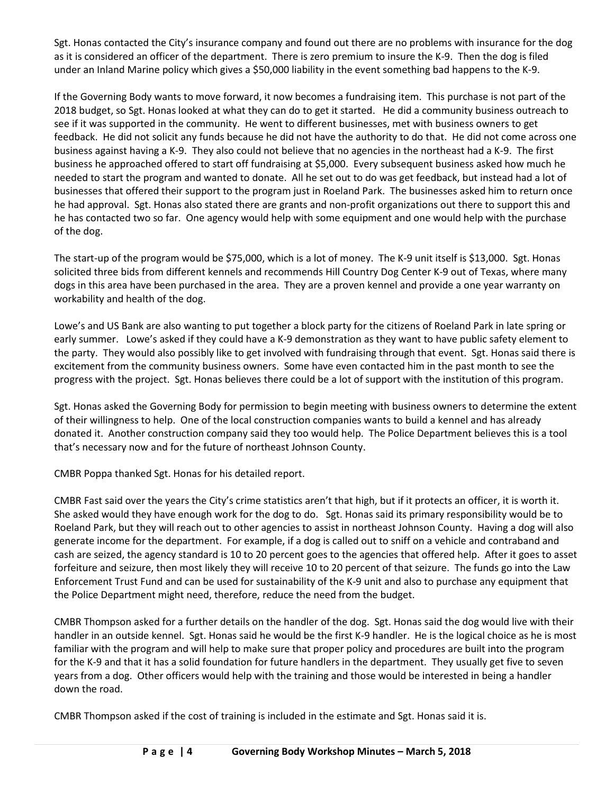Sgt. Honas contacted the City's insurance company and found out there are no problems with insurance for the dog as it is considered an officer of the department. There is zero premium to insure the K-9. Then the dog is filed under an Inland Marine policy which gives a \$50,000 liability in the event something bad happens to the K-9.

If the Governing Body wants to move forward, it now becomes a fundraising item. This purchase is not part of the 2018 budget, so Sgt. Honas looked at what they can do to get it started. He did a community business outreach to see if it was supported in the community. He went to different businesses, met with business owners to get feedback. He did not solicit any funds because he did not have the authority to do that. He did not come across one business against having a K-9. They also could not believe that no agencies in the northeast had a K-9. The first business he approached offered to start off fundraising at \$5,000. Every subsequent business asked how much he needed to start the program and wanted to donate. All he set out to do was get feedback, but instead had a lot of businesses that offered their support to the program just in Roeland Park. The businesses asked him to return once he had approval. Sgt. Honas also stated there are grants and non-profit organizations out there to support this and he has contacted two so far. One agency would help with some equipment and one would help with the purchase of the dog.

The start-up of the program would be \$75,000, which is a lot of money. The K-9 unit itself is \$13,000. Sgt. Honas solicited three bids from different kennels and recommends Hill Country Dog Center K-9 out of Texas, where many dogs in this area have been purchased in the area. They are a proven kennel and provide a one year warranty on workability and health of the dog.

Lowe's and US Bank are also wanting to put together a block party for the citizens of Roeland Park in late spring or early summer. Lowe's asked if they could have a K-9 demonstration as they want to have public safety element to the party. They would also possibly like to get involved with fundraising through that event. Sgt. Honas said there is excitement from the community business owners. Some have even contacted him in the past month to see the progress with the project. Sgt. Honas believes there could be a lot of support with the institution of this program.

Sgt. Honas asked the Governing Body for permission to begin meeting with business owners to determine the extent of their willingness to help. One of the local construction companies wants to build a kennel and has already donated it. Another construction company said they too would help. The Police Department believes this is a tool that's necessary now and for the future of northeast Johnson County.

CMBR Poppa thanked Sgt. Honas for his detailed report.

CMBR Fast said over the years the City's crime statistics aren't that high, but if it protects an officer, it is worth it. She asked would they have enough work for the dog to do. Sgt. Honas said its primary responsibility would be to Roeland Park, but they will reach out to other agencies to assist in northeast Johnson County. Having a dog will also generate income for the department. For example, if a dog is called out to sniff on a vehicle and contraband and cash are seized, the agency standard is 10 to 20 percent goes to the agencies that offered help. After it goes to asset forfeiture and seizure, then most likely they will receive 10 to 20 percent of that seizure. The funds go into the Law Enforcement Trust Fund and can be used for sustainability of the K-9 unit and also to purchase any equipment that the Police Department might need, therefore, reduce the need from the budget.

CMBR Thompson asked for a further details on the handler of the dog. Sgt. Honas said the dog would live with their handler in an outside kennel. Sgt. Honas said he would be the first K-9 handler. He is the logical choice as he is most familiar with the program and will help to make sure that proper policy and procedures are built into the program for the K-9 and that it has a solid foundation for future handlers in the department. They usually get five to seven years from a dog. Other officers would help with the training and those would be interested in being a handler down the road.

CMBR Thompson asked if the cost of training is included in the estimate and Sgt. Honas said it is.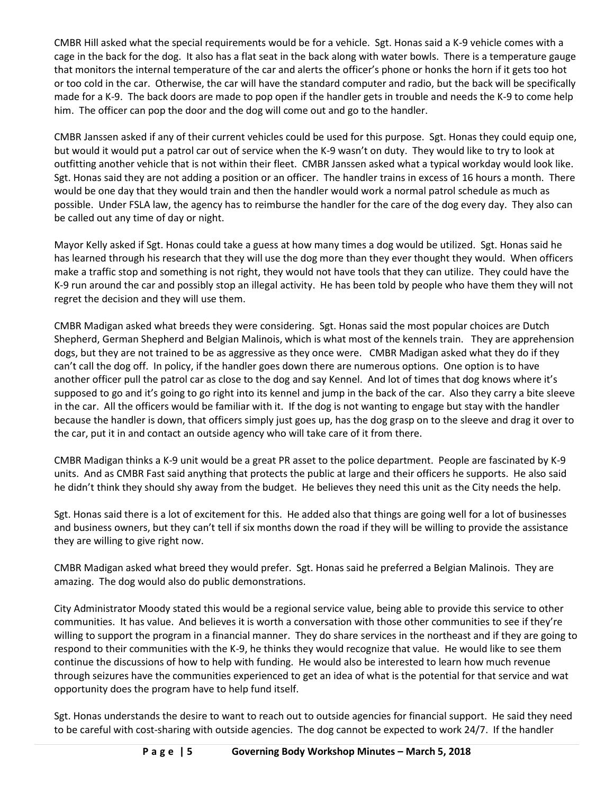CMBR Hill asked what the special requirements would be for a vehicle. Sgt. Honas said a K-9 vehicle comes with a cage in the back for the dog. It also has a flat seat in the back along with water bowls. There is a temperature gauge that monitors the internal temperature of the car and alerts the officer's phone or honks the horn if it gets too hot or too cold in the car. Otherwise, the car will have the standard computer and radio, but the back will be specifically made for a K-9. The back doors are made to pop open if the handler gets in trouble and needs the K-9 to come help him. The officer can pop the door and the dog will come out and go to the handler.

CMBR Janssen asked if any of their current vehicles could be used for this purpose. Sgt. Honas they could equip one, but would it would put a patrol car out of service when the K-9 wasn't on duty. They would like to try to look at outfitting another vehicle that is not within their fleet. CMBR Janssen asked what a typical workday would look like. Sgt. Honas said they are not adding a position or an officer. The handler trains in excess of 16 hours a month. There would be one day that they would train and then the handler would work a normal patrol schedule as much as possible. Under FSLA law, the agency has to reimburse the handler for the care of the dog every day. They also can be called out any time of day or night.

Mayor Kelly asked if Sgt. Honas could take a guess at how many times a dog would be utilized. Sgt. Honas said he has learned through his research that they will use the dog more than they ever thought they would. When officers make a traffic stop and something is not right, they would not have tools that they can utilize. They could have the K-9 run around the car and possibly stop an illegal activity. He has been told by people who have them they will not regret the decision and they will use them.

CMBR Madigan asked what breeds they were considering. Sgt. Honas said the most popular choices are Dutch Shepherd, German Shepherd and Belgian Malinois, which is what most of the kennels train. They are apprehension dogs, but they are not trained to be as aggressive as they once were. CMBR Madigan asked what they do if they can't call the dog off. In policy, if the handler goes down there are numerous options. One option is to have another officer pull the patrol car as close to the dog and say Kennel. And lot of times that dog knows where it's supposed to go and it's going to go right into its kennel and jump in the back of the car. Also they carry a bite sleeve in the car. All the officers would be familiar with it. If the dog is not wanting to engage but stay with the handler because the handler is down, that officers simply just goes up, has the dog grasp on to the sleeve and drag it over to the car, put it in and contact an outside agency who will take care of it from there.

CMBR Madigan thinks a K-9 unit would be a great PR asset to the police department. People are fascinated by K-9 units. And as CMBR Fast said anything that protects the public at large and their officers he supports. He also said he didn't think they should shy away from the budget. He believes they need this unit as the City needs the help.

Sgt. Honas said there is a lot of excitement for this. He added also that things are going well for a lot of businesses and business owners, but they can't tell if six months down the road if they will be willing to provide the assistance they are willing to give right now.

CMBR Madigan asked what breed they would prefer. Sgt. Honas said he preferred a Belgian Malinois. They are amazing. The dog would also do public demonstrations.

City Administrator Moody stated this would be a regional service value, being able to provide this service to other communities. It has value. And believes it is worth a conversation with those other communities to see if they're willing to support the program in a financial manner. They do share services in the northeast and if they are going to respond to their communities with the K-9, he thinks they would recognize that value. He would like to see them continue the discussions of how to help with funding. He would also be interested to learn how much revenue through seizures have the communities experienced to get an idea of what is the potential for that service and wat opportunity does the program have to help fund itself.

Sgt. Honas understands the desire to want to reach out to outside agencies for financial support. He said they need to be careful with cost-sharing with outside agencies. The dog cannot be expected to work 24/7. If the handler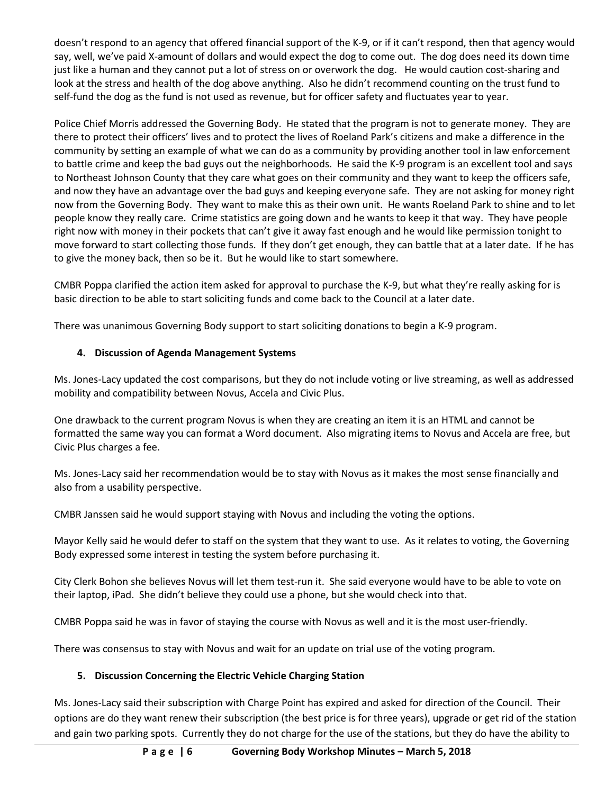doesn't respond to an agency that offered financial support of the K-9, or if it can't respond, then that agency would say, well, we've paid X-amount of dollars and would expect the dog to come out. The dog does need its down time just like a human and they cannot put a lot of stress on or overwork the dog. He would caution cost-sharing and look at the stress and health of the dog above anything. Also he didn't recommend counting on the trust fund to self-fund the dog as the fund is not used as revenue, but for officer safety and fluctuates year to year.

Police Chief Morris addressed the Governing Body. He stated that the program is not to generate money. They are there to protect their officers' lives and to protect the lives of Roeland Park's citizens and make a difference in the community by setting an example of what we can do as a community by providing another tool in law enforcement to battle crime and keep the bad guys out the neighborhoods. He said the K-9 program is an excellent tool and says to Northeast Johnson County that they care what goes on their community and they want to keep the officers safe, and now they have an advantage over the bad guys and keeping everyone safe. They are not asking for money right now from the Governing Body. They want to make this as their own unit. He wants Roeland Park to shine and to let people know they really care. Crime statistics are going down and he wants to keep it that way. They have people right now with money in their pockets that can't give it away fast enough and he would like permission tonight to move forward to start collecting those funds. If they don't get enough, they can battle that at a later date. If he has to give the money back, then so be it. But he would like to start somewhere.

CMBR Poppa clarified the action item asked for approval to purchase the K-9, but what they're really asking for is basic direction to be able to start soliciting funds and come back to the Council at a later date.

There was unanimous Governing Body support to start soliciting donations to begin a K-9 program.

# **4. Discussion of Agenda Management Systems**

Ms. Jones-Lacy updated the cost comparisons, but they do not include voting or live streaming, as well as addressed mobility and compatibility between Novus, Accela and Civic Plus.

One drawback to the current program Novus is when they are creating an item it is an HTML and cannot be formatted the same way you can format a Word document. Also migrating items to Novus and Accela are free, but Civic Plus charges a fee.

Ms. Jones-Lacy said her recommendation would be to stay with Novus as it makes the most sense financially and also from a usability perspective.

CMBR Janssen said he would support staying with Novus and including the voting the options.

Mayor Kelly said he would defer to staff on the system that they want to use. As it relates to voting, the Governing Body expressed some interest in testing the system before purchasing it.

City Clerk Bohon she believes Novus will let them test-run it. She said everyone would have to be able to vote on their laptop, iPad. She didn't believe they could use a phone, but she would check into that.

CMBR Poppa said he was in favor of staying the course with Novus as well and it is the most user-friendly.

There was consensus to stay with Novus and wait for an update on trial use of the voting program.

# **5. Discussion Concerning the Electric Vehicle Charging Station**

Ms. Jones-Lacy said their subscription with Charge Point has expired and asked for direction of the Council. Their options are do they want renew their subscription (the best price is for three years), upgrade or get rid of the station and gain two parking spots. Currently they do not charge for the use of the stations, but they do have the ability to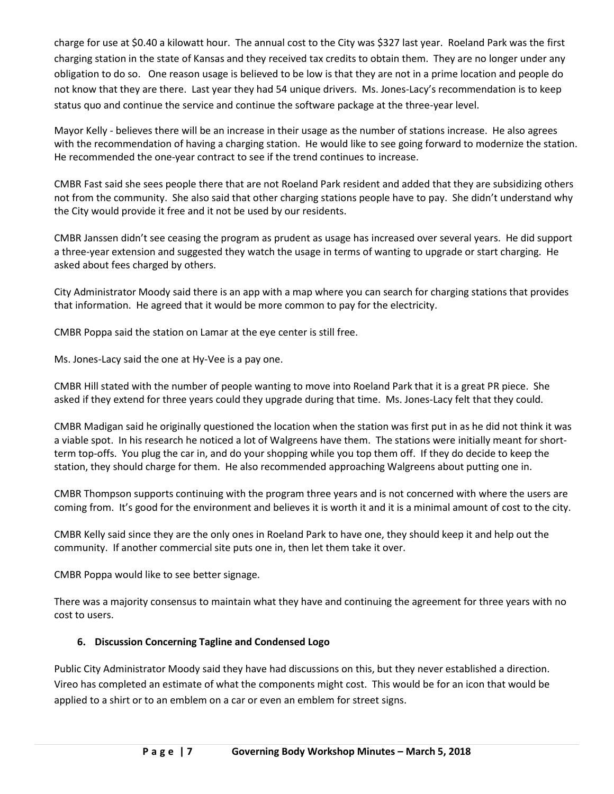charge for use at \$0.40 a kilowatt hour. The annual cost to the City was \$327 last year. Roeland Park was the first charging station in the state of Kansas and they received tax credits to obtain them. They are no longer under any obligation to do so. One reason usage is believed to be low is that they are not in a prime location and people do not know that they are there. Last year they had 54 unique drivers. Ms. Jones-Lacy's recommendation is to keep status quo and continue the service and continue the software package at the three-year level.

Mayor Kelly - believes there will be an increase in their usage as the number of stations increase. He also agrees with the recommendation of having a charging station. He would like to see going forward to modernize the station. He recommended the one-year contract to see if the trend continues to increase.

CMBR Fast said she sees people there that are not Roeland Park resident and added that they are subsidizing others not from the community. She also said that other charging stations people have to pay. She didn't understand why the City would provide it free and it not be used by our residents.

CMBR Janssen didn't see ceasing the program as prudent as usage has increased over several years. He did support a three-year extension and suggested they watch the usage in terms of wanting to upgrade or start charging. He asked about fees charged by others.

City Administrator Moody said there is an app with a map where you can search for charging stations that provides that information. He agreed that it would be more common to pay for the electricity.

CMBR Poppa said the station on Lamar at the eye center is still free.

Ms. Jones-Lacy said the one at Hy-Vee is a pay one.

CMBR Hill stated with the number of people wanting to move into Roeland Park that it is a great PR piece. She asked if they extend for three years could they upgrade during that time. Ms. Jones-Lacy felt that they could.

CMBR Madigan said he originally questioned the location when the station was first put in as he did not think it was a viable spot. In his research he noticed a lot of Walgreens have them. The stations were initially meant for shortterm top-offs. You plug the car in, and do your shopping while you top them off. If they do decide to keep the station, they should charge for them. He also recommended approaching Walgreens about putting one in.

CMBR Thompson supports continuing with the program three years and is not concerned with where the users are coming from. It's good for the environment and believes it is worth it and it is a minimal amount of cost to the city.

CMBR Kelly said since they are the only ones in Roeland Park to have one, they should keep it and help out the community. If another commercial site puts one in, then let them take it over.

CMBR Poppa would like to see better signage.

There was a majority consensus to maintain what they have and continuing the agreement for three years with no cost to users.

# **6. Discussion Concerning Tagline and Condensed Logo**

Public City Administrator Moody said they have had discussions on this, but they never established a direction. Vireo has completed an estimate of what the components might cost. This would be for an icon that would be applied to a shirt or to an emblem on a car or even an emblem for street signs.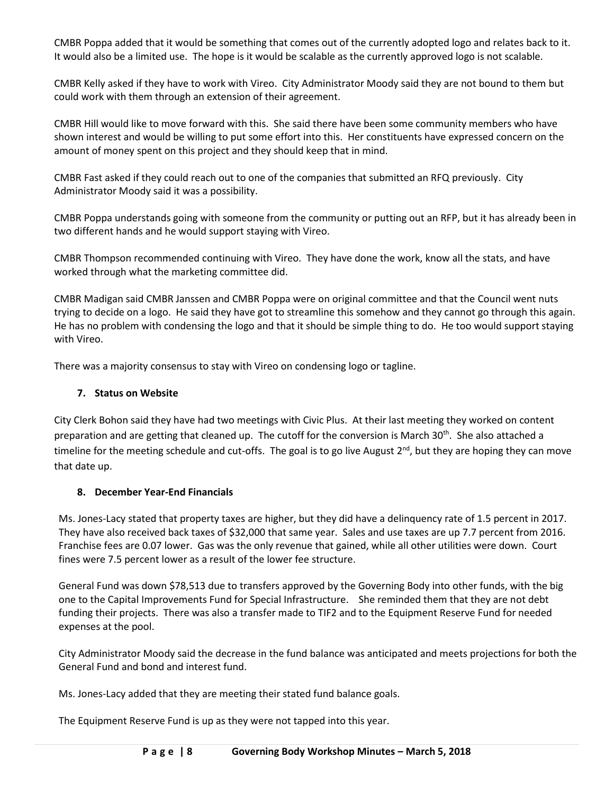CMBR Poppa added that it would be something that comes out of the currently adopted logo and relates back to it. It would also be a limited use. The hope is it would be scalable as the currently approved logo is not scalable.

CMBR Kelly asked if they have to work with Vireo. City Administrator Moody said they are not bound to them but could work with them through an extension of their agreement.

CMBR Hill would like to move forward with this. She said there have been some community members who have shown interest and would be willing to put some effort into this. Her constituents have expressed concern on the amount of money spent on this project and they should keep that in mind.

CMBR Fast asked if they could reach out to one of the companies that submitted an RFQ previously. City Administrator Moody said it was a possibility.

CMBR Poppa understands going with someone from the community or putting out an RFP, but it has already been in two different hands and he would support staying with Vireo.

CMBR Thompson recommended continuing with Vireo. They have done the work, know all the stats, and have worked through what the marketing committee did.

CMBR Madigan said CMBR Janssen and CMBR Poppa were on original committee and that the Council went nuts trying to decide on a logo. He said they have got to streamline this somehow and they cannot go through this again. He has no problem with condensing the logo and that it should be simple thing to do. He too would support staying with Vireo.

There was a majority consensus to stay with Vireo on condensing logo or tagline.

### **7. Status on Website**

City Clerk Bohon said they have had two meetings with Civic Plus. At their last meeting they worked on content preparation and are getting that cleaned up. The cutoff for the conversion is March 30<sup>th</sup>. She also attached a timeline for the meeting schedule and cut-offs. The goal is to go live August 2<sup>nd</sup>, but they are hoping they can move that date up.

# **8. December Year-End Financials**

Ms. Jones-Lacy stated that property taxes are higher, but they did have a delinquency rate of 1.5 percent in 2017. They have also received back taxes of \$32,000 that same year. Sales and use taxes are up 7.7 percent from 2016. Franchise fees are 0.07 lower. Gas was the only revenue that gained, while all other utilities were down. Court fines were 7.5 percent lower as a result of the lower fee structure.

General Fund was down \$78,513 due to transfers approved by the Governing Body into other funds, with the big one to the Capital Improvements Fund for Special Infrastructure. She reminded them that they are not debt funding their projects. There was also a transfer made to TIF2 and to the Equipment Reserve Fund for needed expenses at the pool.

City Administrator Moody said the decrease in the fund balance was anticipated and meets projections for both the General Fund and bond and interest fund.

Ms. Jones-Lacy added that they are meeting their stated fund balance goals.

The Equipment Reserve Fund is up as they were not tapped into this year.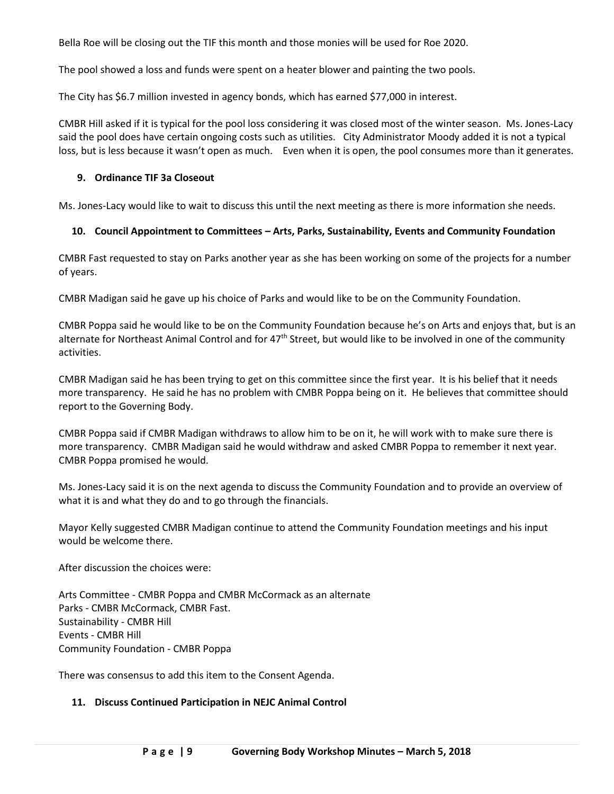Bella Roe will be closing out the TIF this month and those monies will be used for Roe 2020.

The pool showed a loss and funds were spent on a heater blower and painting the two pools.

The City has \$6.7 million invested in agency bonds, which has earned \$77,000 in interest.

CMBR Hill asked if it is typical for the pool loss considering it was closed most of the winter season. Ms. Jones-Lacy said the pool does have certain ongoing costs such as utilities. City Administrator Moody added it is not a typical loss, but is less because it wasn't open as much. Even when it is open, the pool consumes more than it generates.

### **9. Ordinance TIF 3a Closeout**

Ms. Jones-Lacy would like to wait to discuss this until the next meeting as there is more information she needs.

### **10. Council Appointment to Committees – Arts, Parks, Sustainability, Events and Community Foundation**

CMBR Fast requested to stay on Parks another year as she has been working on some of the projects for a number of years.

CMBR Madigan said he gave up his choice of Parks and would like to be on the Community Foundation.

CMBR Poppa said he would like to be on the Community Foundation because he's on Arts and enjoys that, but is an alternate for Northeast Animal Control and for  $47<sup>th</sup>$  Street, but would like to be involved in one of the community activities.

CMBR Madigan said he has been trying to get on this committee since the first year. It is his belief that it needs more transparency. He said he has no problem with CMBR Poppa being on it. He believes that committee should report to the Governing Body.

CMBR Poppa said if CMBR Madigan withdraws to allow him to be on it, he will work with to make sure there is more transparency. CMBR Madigan said he would withdraw and asked CMBR Poppa to remember it next year. CMBR Poppa promised he would.

Ms. Jones-Lacy said it is on the next agenda to discuss the Community Foundation and to provide an overview of what it is and what they do and to go through the financials.

Mayor Kelly suggested CMBR Madigan continue to attend the Community Foundation meetings and his input would be welcome there.

After discussion the choices were:

Arts Committee - CMBR Poppa and CMBR McCormack as an alternate Parks - CMBR McCormack, CMBR Fast. Sustainability - CMBR Hill Events - CMBR Hill Community Foundation - CMBR Poppa

There was consensus to add this item to the Consent Agenda.

#### **11. Discuss Continued Participation in NEJC Animal Control**